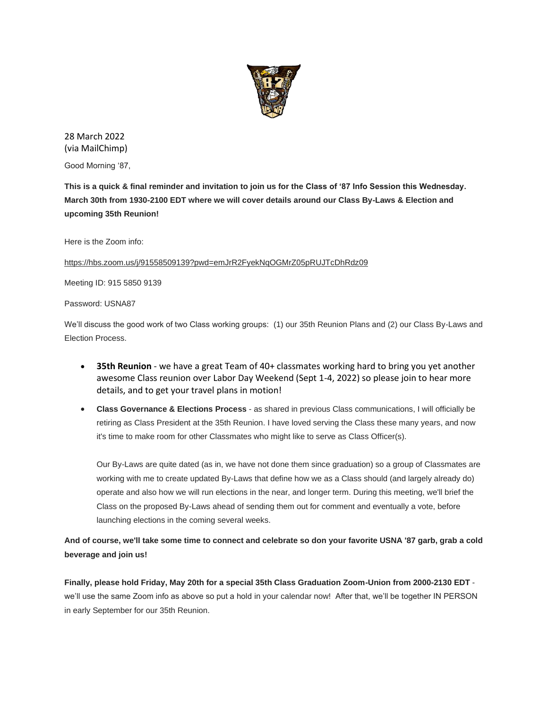

28 March 2022 (via MailChimp)

Good Morning '87,

**This is a quick & final reminder and invitation to join us for the Class of '87 Info Session this Wednesday. March 30th from 1930-2100 EDT where we will cover details around our Class By-Laws & Election and upcoming 35th Reunion!**

Here is the Zoom info:

[https://hbs.zoom.us/j/91558509139?pwd=emJrR2FyekNqOGMrZ05pRUJTcDhRdz09](https://urldefense.com/v3/__https:/usna87.us8.list-manage.com/track/click?u=2684e72b50947e1384ea3ea73&id=96452d6148&e=71e63943a2__;!!MvWE!S0FOVE85ta-yr1ft6jGKauH3Ud9B6EAURJTx8phETjZkxcF20U1tkhPjToMtVX5O6w$)

Meeting ID: 915 5850 9139

Password: USNA87

We'll discuss the good work of two Class working groups: (1) our 35th Reunion Plans and (2) our Class By-Laws and Election Process.

- **35th Reunion** we have a great Team of 40+ classmates working hard to bring you yet another awesome Class reunion over Labor Day Weekend (Sept 1-4, 2022) so please join to hear more details, and to get your travel plans in motion!
- **Class Governance & Elections Process** as shared in previous Class communications, I will officially be retiring as Class President at the 35th Reunion. I have loved serving the Class these many years, and now it's time to make room for other Classmates who might like to serve as Class Officer(s).

Our By-Laws are quite dated (as in, we have not done them since graduation) so a group of Classmates are working with me to create updated By-Laws that define how we as a Class should (and largely already do) operate and also how we will run elections in the near, and longer term. During this meeting, we'll brief the Class on the proposed By-Laws ahead of sending them out for comment and eventually a vote, before launching elections in the coming several weeks.

## **And of course, we'll take some time to connect and celebrate so don your favorite USNA '87 garb, grab a cold beverage and join us!**

**Finally, please hold Friday, May 20th for a special 35th Class Graduation Zoom-Union from 2000-2130 EDT** we'll use the same Zoom info as above so put a hold in your calendar now! After that, we'll be together IN PERSON in early September for our 35th Reunion.